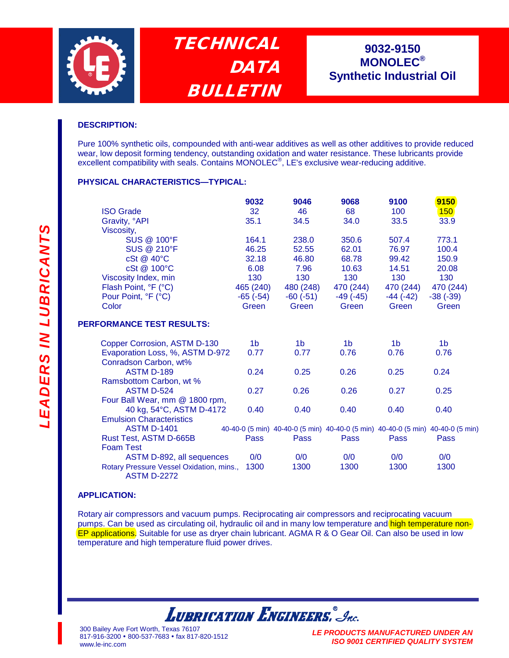

**TECHNICAL DATA** BULLETIN

# **9032-9150 9032-9150 MONOLEC® MONOLEC® Synthetic Industrial Oil Synthetic Industrial Oil**

## **DESCRIPTION:**

Pure 100% synthetic oils, compounded with anti-wear additives as well as other additives to provide reduced wear, low deposit forming tendency, outstanding oxidation and water resistance. These lubricants provide excellent compatibility with seals. Contains MONOLEC<sup>®</sup>, LE's exclusive wear-reducing additive.

#### **PHYSICAL CHARACTERISTICS—TYPICAL:**

|                         | 9032          | 9046       | 9068       | 9100       | 9150       |
|-------------------------|---------------|------------|------------|------------|------------|
| <b>ISO Grade</b>        | 32            | 46         | 68         | 100        | <b>150</b> |
| Gravity, °API           | 35.1          | 34.5       | 34.0       | 33.5       | 33.9       |
| Viscosity,              |               |            |            |            |            |
| <b>SUS @ 100°F</b>      | 164.1         | 238.0      | 350.6      | 507.4      | 773.1      |
| <b>SUS @ 210°F</b>      | 46.25         | 52.55      | 62.01      | 76.97      | 100.4      |
| $cSt \ @ \ 40^{\circ}C$ | 32.18         | 46.80      | 68.78      | 99.42      | 150.9      |
| cSt @ 100°C             | 6.08          | 7.96       | 10.63      | 14.51      | 20.08      |
| Viscosity Index, min    | 130           | 130        | 130        | 130        | 130        |
| Flash Point, °F (°C)    | 465 (240)     | 480 (248)  | 470 (244)  | 470 (244)  | 470 (244)  |
| Pour Point, °F (°C)     | $-65$ $(-54)$ | $-60(-51)$ | $-49(-45)$ | $-44(-42)$ | $-38(-39)$ |
| Color                   | Green         | Green      | Green      | Green      | Green      |

## **PERFORMANCE TEST RESULTS:**

| Copper Corrosion, ASTM D-130                                   | 1b   | 1b                                                                              | 1b   | 1b   | 1b          |
|----------------------------------------------------------------|------|---------------------------------------------------------------------------------|------|------|-------------|
| Evaporation Loss, %, ASTM D-972                                |      | 0.77                                                                            | 0.76 | 0.76 | 0.76        |
| Conradson Carbon, wt%                                          |      |                                                                                 |      |      |             |
| <b>ASTM D-189</b>                                              | 0.24 | 0.25                                                                            | 0.26 | 0.25 | 0.24        |
| Ramsbottom Carbon, wt %                                        |      |                                                                                 |      |      |             |
| <b>ASTM D-524</b>                                              | 0.27 | 0.26                                                                            | 0.26 | 0.27 | 0.25        |
| Four Ball Wear, mm @ 1800 rpm,                                 |      |                                                                                 |      |      |             |
| 40 kg, 54°C, ASTM D-4172                                       | 0.40 | 0.40                                                                            | 0.40 | 0.40 | 0.40        |
| <b>Emulsion Characteristics</b>                                |      |                                                                                 |      |      |             |
| <b>ASTM D-1401</b>                                             |      | 40-40-0 (5 min) 40-40-0 (5 min) 40-40-0 (5 min) 40-40-0 (5 min) 40-40-0 (5 min) |      |      |             |
| Rust Test, ASTM D-665B                                         | Pass | Pass                                                                            | Pass | Pass | <b>Pass</b> |
| Foam Test                                                      |      |                                                                                 |      |      |             |
| ASTM D-892, all sequences                                      | 0/0  | 0/0                                                                             | 0/0  | 0/0  | 0/0         |
| Rotary Pressure Vessel Oxidation, mins.,<br><b>ASTM D-2272</b> | 1300 | 1300                                                                            | 1300 | 1300 | 1300        |

#### **APPLICATION:**

Rotary air compressors and vacuum pumps. Reciprocating air compressors and reciprocating vacuum pumps. Can be used as circulating oil, hydraulic oil and in many low temperature and high temperature non-EP applications. Suitable for use as dryer chain lubricant. AGMA R & O Gear Oil. Can also be used in low temperature and high temperature fluid power drives.

**LUBRICATION ENGINEERS.** Inc.

300 Bailey Ave Fort Worth, Texas 76107 817-916-3200 800-537-7683 fax 817-820-1512 www.le-inc.com

*LE PRODUCTS MANUFACTURED UNDER AN ISO 9001 CERTIFIED QUALITY SYSTEM*